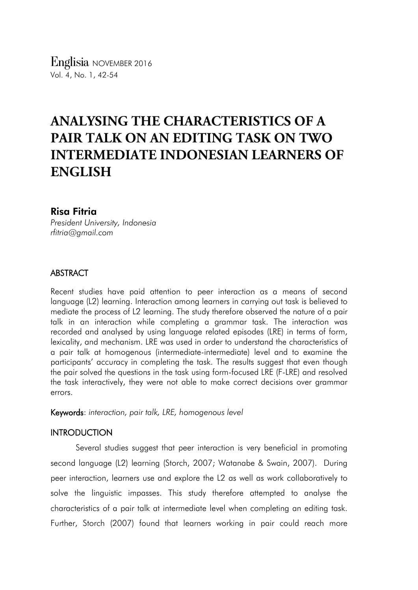*Englisia* NOVEMBER 2016 Vol. 4, No. 1, 42-54

# **ANALYSING THE CHARACTERISTICS OF A PAIR TALK ON AN EDITING TASK ON TWO INTERMEDIATE INDONESIAN LEARNERS OF ENGLISH**

# Risa Fitria

*President University, Indonesia rfitria@gmail.com*

## ABSTRACT

Recent studies have paid attention to peer interaction as a means of second language (L2) learning. Interaction among learners in carrying out task is believed to mediate the process of L2 learning. The study therefore observed the nature of a pair talk in an interaction while completing a grammar task. The interaction was recorded and analysed by using language related episodes (LRE) in terms of form, lexicality, and mechanism. LRE was used in order to understand the characteristics of a pair talk at homogenous (intermediate-intermediate) level and to examine the participants' accuracy in completing the task. The results suggest that even though the pair solved the questions in the task using form-focused LRE (F-LRE) and resolved the task interactively, they were not able to make correct decisions over grammar errors.

Keywords: *interaction, pair talk, LRE, homogenous level*

# **INTRODUCTION**

Several studies suggest that peer interaction is very beneficial in promoting second language (L2) learning (Storch, 2007; Watanabe & Swain, 2007). During peer interaction, learners use and explore the L2 as well as work collaboratively to solve the linguistic impasses. This study therefore attempted to analyse the characteristics of a pair talk at intermediate level when completing an editing task. Further, Storch (2007) found that learners working in pair could reach more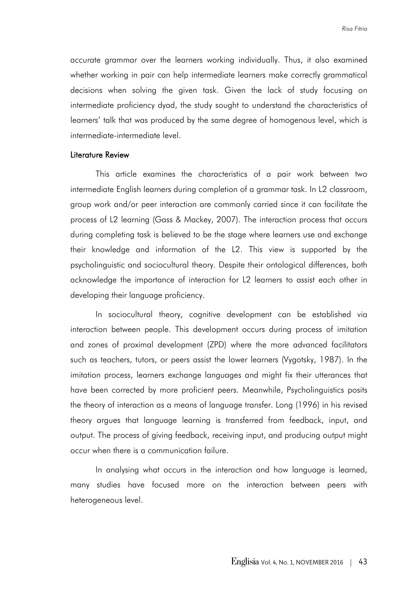accurate grammar over the learners working individually. Thus, it also examined whether working in pair can help intermediate learners make correctly grammatical decisions when solving the given task. Given the lack of study focusing on intermediate proficiency dyad, the study sought to understand the characteristics of learners' talk that was produced by the same degree of homogenous level, which is intermediate-intermediate level.

#### Literature Review

This article examines the characteristics of a pair work between two intermediate English learners during completion of a grammar task. In L2 classroom, group work and/or peer interaction are commonly carried since it can facilitate the process of L2 learning (Gass & Mackey, 2007). The interaction process that occurs during completing task is believed to be the stage where learners use and exchange their knowledge and information of the L2. This view is supported by the psycholinguistic and sociocultural theory. Despite their ontological differences, both acknowledge the importance of interaction for L2 learners to assist each other in developing their language proficiency.

In sociocultural theory, cognitive development can be established via interaction between people. This development occurs during process of imitation and zones of proximal development (ZPD) where the more advanced facilitators such as teachers, tutors, or peers assist the lower learners (Vygotsky, 1987). In the imitation process, learners exchange languages and might fix their utterances that have been corrected by more proficient peers. Meanwhile, Psycholinguistics posits the theory of interaction as a means of language transfer. Long (1996) in his revised theory argues that language learning is transferred from feedback, input, and output. The process of giving feedback, receiving input, and producing output might occur when there is a communication failure.

In analysing what occurs in the interaction and how language is learned, many studies have focused more on the interaction between peers with heterogeneous level.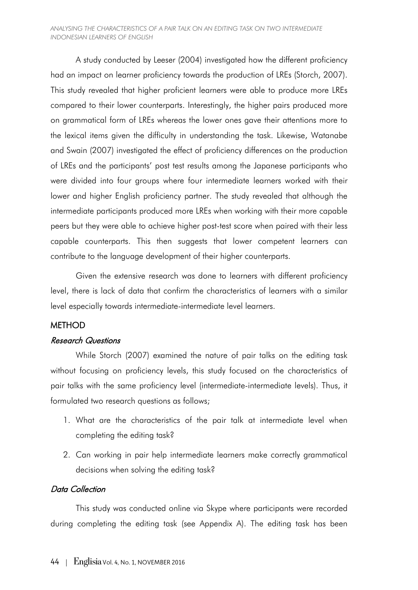#### *ANALYSING THE CHARACTERISTICS OF A PAIR TALK ON AN EDITING TASK ON TWO INTERMEDIATE INDONESIAN LEARNERS OF ENGLISH*

A study conducted by Leeser (2004) investigated how the different proficiency had an impact on learner proficiency towards the production of LREs (Storch, 2007). This study revealed that higher proficient learners were able to produce more LREs compared to their lower counterparts. Interestingly, the higher pairs produced more on grammatical form of LREs whereas the lower ones gave their attentions more to the lexical items given the difficulty in understanding the task. Likewise, Watanabe and Swain (2007) investigated the effect of proficiency differences on the production of LREs and the participants' post test results among the Japanese participants who were divided into four groups where four intermediate learners worked with their lower and higher English proficiency partner. The study revealed that although the intermediate participants produced more LREs when working with their more capable peers but they were able to achieve higher post-test score when paired with their less capable counterparts. This then suggests that lower competent learners can contribute to the language development of their higher counterparts.

Given the extensive research was done to learners with different proficiency level, there is lack of data that confirm the characteristics of learners with a similar level especially towards intermediate-intermediate level learners.

#### **METHOD**

#### Research Questions

While Storch (2007) examined the nature of pair talks on the editing task without focusing on proficiency levels, this study focused on the characteristics of pair talks with the same proficiency level (intermediate-intermediate levels). Thus, it formulated two research questions as follows;

- 1. What are the characteristics of the pair talk at intermediate level when completing the editing task?
- 2. Can working in pair help intermediate learners make correctly grammatical decisions when solving the editing task?

# Data Collection

This study was conducted online via Skype where participants were recorded during completing the editing task (see Appendix A). The editing task has been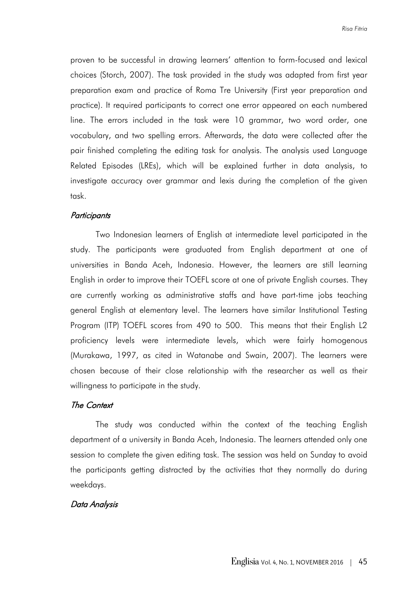proven to be successful in drawing learners' attention to form-focused and lexical choices (Storch, 2007). The task provided in the study was adapted from first year preparation exam and practice of Roma Tre University (First year preparation and practice). It required participants to correct one error appeared on each numbered line. The errors included in the task were 10 grammar, two word order, one vocabulary, and two spelling errors. Afterwards, the data were collected after the pair finished completing the editing task for analysis. The analysis used Language Related Episodes (LREs), which will be explained further in data analysis, to investigate accuracy over grammar and lexis during the completion of the given task.

#### **Participants**

Two Indonesian learners of English at intermediate level participated in the study. The participants were graduated from English department at one of universities in Banda Aceh, Indonesia. However, the learners are still learning English in order to improve their TOEFL score at one of private English courses. They are currently working as administrative staffs and have part-time jobs teaching general English at elementary level. The learners have similar Institutional Testing Program (ITP) TOEFL scores from 490 to 500. This means that their English L2 proficiency levels were intermediate levels, which were fairly homogenous (Murakawa, 1997, as cited in Watanabe and Swain, 2007). The learners were chosen because of their close relationship with the researcher as well as their willingness to participate in the study.

#### The Context

The study was conducted within the context of the teaching English department of a university in Banda Aceh, Indonesia. The learners attended only one session to complete the given editing task. The session was held on Sunday to avoid the participants getting distracted by the activities that they normally do during weekdays.

## Data Analysis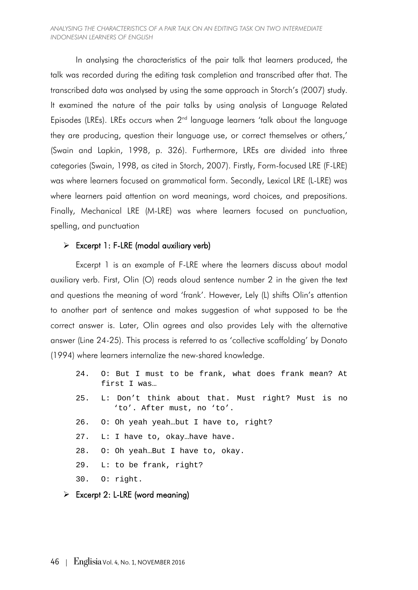#### *ANALYSING THE CHARACTERISTICS OF A PAIR TALK ON AN EDITING TASK ON TWO INTERMEDIATE INDONESIAN LEARNERS OF ENGLISH*

In analysing the characteristics of the pair talk that learners produced, the talk was recorded during the editing task completion and transcribed after that. The transcribed data was analysed by using the same approach in Storch's (2007) study. It examined the nature of the pair talks by using analysis of Language Related Episodes (LREs). LREs occurs when  $2<sup>nd</sup>$  language learners 'talk about the language they are producing, question their language use, or correct themselves or others,' (Swain and Lapkin, 1998, p. 326). Furthermore, LREs are divided into three categories (Swain, 1998, as cited in Storch, 2007). Firstly, Form-focused LRE (F-LRE) was where learners focused on grammatical form. Secondly, Lexical LRE (L-LRE) was where learners paid attention on word meanings, word choices, and prepositions. Finally, Mechanical LRE (M-LRE) was where learners focused on punctuation, spelling, and punctuation

# $\triangleright$  Excerpt 1: F-LRE (modal auxiliary verb)

Excerpt 1 is an example of F-LRE where the learners discuss about modal auxiliary verb. First, Olin (O) reads aloud sentence number 2 in the given the text and questions the meaning of word 'frank'. However, Lely (L) shifts Olin's attention to another part of sentence and makes suggestion of what supposed to be the correct answer is. Later, Olin agrees and also provides Lely with the alternative answer (Line 24-25). This process is referred to as 'collective scaffolding' by Donato (1994) where learners internalize the new-shared knowledge.

- 24. O: But I must to be frank, what does frank mean? At first I was…
- 25. L: Don't think about that. Must right? Must is no 'to'. After must, no 'to'.
- 26. O: Oh yeah yeah…but I have to, right?
- 27. L: I have to, okay…have have.
- 28. O: Oh yeah…But I have to, okay.
- 29. L: to be frank, right?
- 30. O: right.
- $\triangleright$  Excerpt 2: L-LRE (word meaning)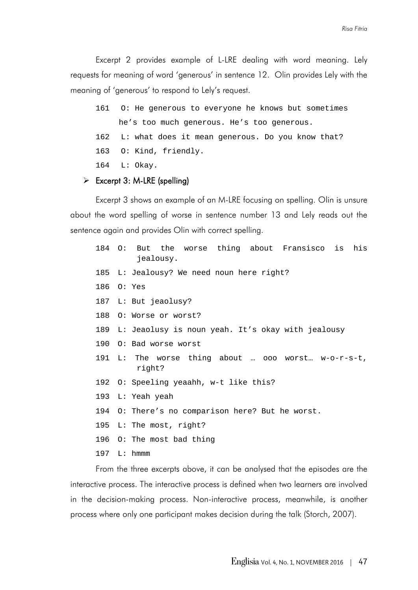Excerpt 2 provides example of L-LRE dealing with word meaning. Lely requests for meaning of word 'generous' in sentence 12. Olin provides Lely with the meaning of 'generous' to respond to Lely's request.

- 161 O: He generous to everyone he knows but sometimes he's too much generous. He's too generous.
- 162 L: what does it mean generous. Do you know that?
- 163 O: Kind, friendly.
- 164 L: Okay.

## $\triangleright$  Excerpt 3: M-LRE (spelling)

Excerpt 3 shows an example of an M-LRE focusing on spelling. Olin is unsure about the word spelling of worse in sentence number 13 and Lely reads out the sentence again and provides Olin with correct spelling.

|            | 184 O: But the worse thing about Fransisco is<br>his<br>jealousy. |
|------------|-------------------------------------------------------------------|
|            | 185 L: Jealousy? We need noun here right?                         |
| 186 O: Yes |                                                                   |
|            | 187 L: But jeaolusy?                                              |
| 188        | O: Worse or worst?                                                |
|            | 189 L: Jeaolusy is noun yeah. It's okay with jealousy             |
|            | 190 O: Bad worse worst                                            |
|            | 191 L: The worse thing about  ooo worst w-o-r-s-t,<br>right?      |
|            | 192 O: Speeling yeaahh, w-t like this?                            |
|            | 193 L: Yeah yeah                                                  |
|            | 194 O: There's no comparison here? But he worst.                  |
|            | 195 L: The most, right?                                           |
|            | 196 O: The most bad thing                                         |
|            | $197 \quad L: \quad \text{human}$                                 |

From the three excerpts above, it can be analysed that the episodes are the interactive process. The interactive process is defined when two learners are involved in the decision-making process. Non-interactive process, meanwhile, is another process where only one participant makes decision during the talk (Storch, 2007).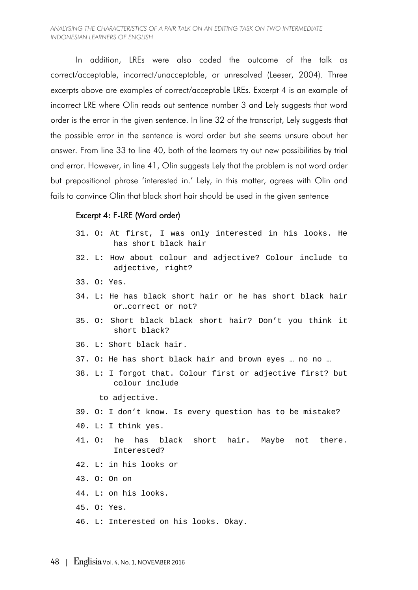In addition, LREs were also coded the outcome of the talk as correct/acceptable, incorrect/unacceptable, or unresolved (Leeser, 2004). Three excerpts above are examples of correct/acceptable LREs. Excerpt 4 is an example of incorrect LRE where Olin reads out sentence number 3 and Lely suggests that word order is the error in the given sentence. In line 32 of the transcript, Lely suggests that the possible error in the sentence is word order but she seems unsure about her answer. From line 33 to line 40, both of the learners try out new possibilities by trial and error. However, in line 41, Olin suggests Lely that the problem is not word order but prepositional phrase 'interested in.' Lely, in this matter, agrees with Olin and fails to convince Olin that black short hair should be used in the given sentence

#### Excerpt 4: F-LRE (Word order)

- 31. O: At first, I was only interested in his looks. He has short black hair
- 32. L: How about colour and adjective? Colour include to adjective, right?
- 33. O: Yes.
- 34. L: He has black short hair or he has short black hair or…correct or not?
- 35. O: Short black black short hair? Don't you think it short black?
- 36. L: Short black hair.
- 37. O: He has short black hair and brown eyes … no no …
- 38. L: I forgot that. Colour first or adjective first? but colour include

to adjective.

- 39. O: I don't know. Is every question has to be mistake?
- 40. L: I think yes.
- 41. O: he has black short hair. Maybe not there. Interested?
- 42. L: in his looks or
- 43. O: On on
- 44. L: on his looks.
- 45. O: Yes.
- 46. L: Interested on his looks. Okay.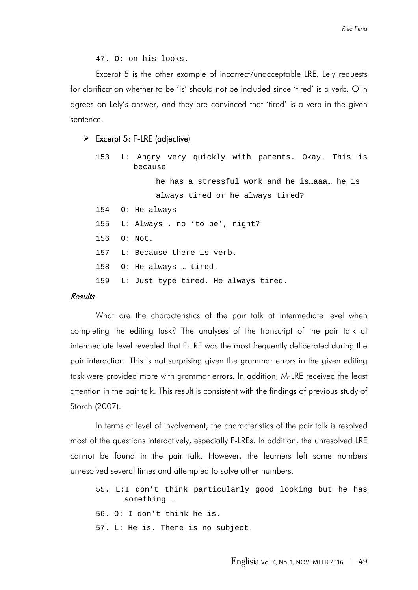47. O: on his looks.

Excerpt 5 is the other example of incorrect/unacceptable LRE. Lely requests for clarification whether to be 'is' should not be included since 'tired' is a verb. Olin agrees on Lely's answer, and they are convinced that 'tired' is a verb in the given sentence.

#### $\triangleright$  Excerpt 5: F-LRE (adjective)

| 153 L: Angry very quickly with parents. Okay. This is<br>because |
|------------------------------------------------------------------|
| he has a stressful work and he is  aaa he is                     |
| always tired or he always tired?                                 |
| 154 O: He always                                                 |
| 155 L: Always . no 'to be', right?                               |
| 156 0: Not.                                                      |
| 157 L: Because there is verb.                                    |
| 158 O: He always  tired.                                         |
| 159 L: Just type tired. He always tired.                         |
|                                                                  |

# Results

What are the characteristics of the pair talk at intermediate level when completing the editing task? The analyses of the transcript of the pair talk at intermediate level revealed that F-LRE was the most frequently deliberated during the pair interaction. This is not surprising given the grammar errors in the given editing task were provided more with grammar errors. In addition, M-LRE received the least attention in the pair talk. This result is consistent with the findings of previous study of Storch (2007).

In terms of level of involvement, the characteristics of the pair talk is resolved most of the questions interactively, especially F-LREs. In addition, the unresolved LRE cannot be found in the pair talk. However, the learners left some numbers unresolved several times and attempted to solve other numbers.

- 55. L:I don't think particularly good looking but he has something …
- 56. O: I don't think he is.
- 57. L: He is. There is no subject.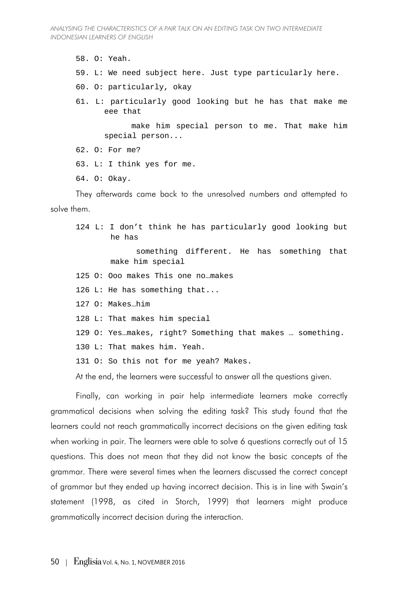58. O: Yeah.

- 59. L: We need subject here. Just type particularly here.
- 60. O: particularly, okay
- 61. L: particularly good looking but he has that make me eee that

 make him special person to me. That make him special person...

62. O: For me?

63. L: I think yes for me.

64. O: Okay.

They afterwards came back to the unresolved numbers and attempted to solve them.

124 L: I don't think he has particularly good looking but he has something different. He has something that make him special 125 O: Ooo makes This one no…makes 126 L: He has something that... 127 O: Makes…him 128 L: That makes him special 129 O: Yes…makes, right? Something that makes … something. 130 L: That makes him. Yeah. 131 O: So this not for me yeah? Makes. At the end, the learners were successful to answer all the questions given.

Finally, can working in pair help intermediate learners make correctly grammatical decisions when solving the editing task? This study found that the learners could not reach grammatically incorrect decisions on the given editing task when working in pair. The learners were able to solve 6 questions correctly out of 15 questions. This does not mean that they did not know the basic concepts of the grammar. There were several times when the learners discussed the correct concept of grammar but they ended up having incorrect decision. This is in line with Swain's statement (1998, as cited in Storch, 1999) that learners might produce grammatically incorrect decision during the interaction.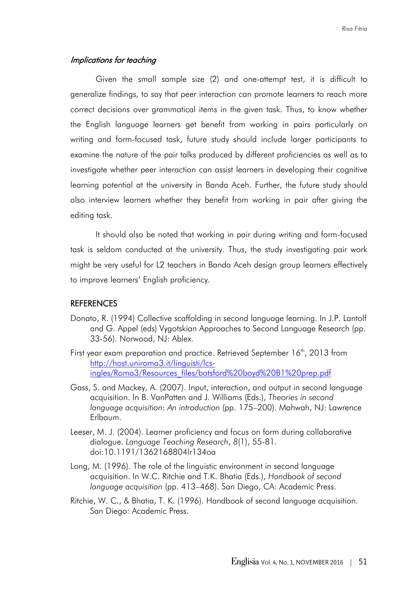## Implications for teaching

Given the small sample size (2) and one-attempt test, it is difficult to generalize findings, to say that peer interaction can promote learners to reach more correct decisions over grammatical items in the given task. Thus, to know whether the English language learners get benefit from working in pairs particularly on writing and form-focused task, future study should include larger participants to examine the nature of the pair talks produced by different proficiencies as well as to investigate whether peer interaction can assist learners in developing their cognitive learning potential at the university in Banda Aceh. Further, the future study should also interview learners whether they benefit from working in pair after giving the editing task.

It should also be noted that working in pair during writing and form-focused task is seldom conducted at the university. Thus, the study investigating pair work might be very useful for L2 teachers in Banda Aceh design group learners effectively to improve learners' English proficiency.

#### REFERENCES

- Donato, R. (1994) Collective scaffolding in second language learning. In J.P. Lantolf and G. Appel (eds) Vygotskian Approaches to Second Language Research (pp. 33-56). Norwood, NJ: Ablex.
- First year exam preparation and practice. Retrieved September  $16<sup>th</sup>$ , 2013 from [http://host.uniroma3.it/linguisti/lcs](http://host.uniroma3.it/linguisti/lcs-ingles/Roma3/Resources_files/botsford%20boyd%20B1%20prep.pdf)[ingles/Roma3/Resources\\_files/botsford%20boyd%20B1%20prep.pdf](http://host.uniroma3.it/linguisti/lcs-ingles/Roma3/Resources_files/botsford%20boyd%20B1%20prep.pdf)
- Gass, S. and Mackey, A. (2007). Input, interaction, and output in second language acquisition. In B. VanPatten and J. Williams (Eds.), *Theories in second language acquisition*: *An introduction* (pp. 175–200). Mahwah, NJ: Lawrence Erlbaum.
- Leeser, M. J. (2004). Learner proficiency and focus on form during collaborative dialogue. *Language Teaching Research*, *8*(1), 55-81. doi:10.1191/1362168804lr134oa
- Long, M. (1996). The role of the linguistic environment in second language acquisition. In W.C. Ritchie and T.K. Bhatia (Eds.), *Handbook of second language acquisition* (pp. 413–468). San Diego, CA: Academic Press.
- Ritchie, W. C., & Bhatia, T. K. (1996). Handbook of second language acquisition. San Diego: Academic Press.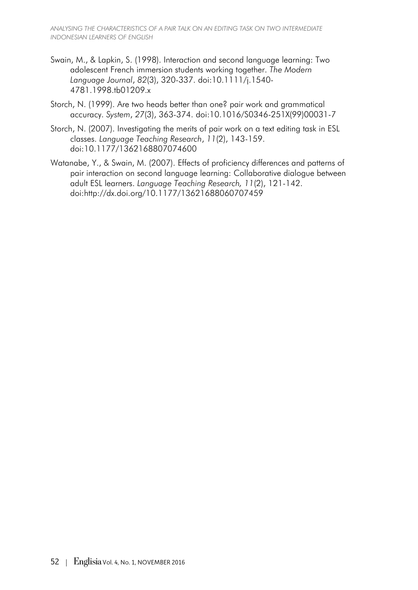- Swain, M., & Lapkin, S. (1998). Interaction and second language learning: Two adolescent French immersion students working together. *The Modern Language Journal*, *82*(3), 320-337. doi:10.1111/j.1540- 4781.1998.tb01209.x
- Storch, N. (1999). Are two heads better than one? pair work and grammatical accuracy. *System*, *27*(3), 363-374. doi:10.1016/S0346-251X(99)00031-7
- Storch, N. (2007). Investigating the merits of pair work on a text editing task in ESL classes. *Language Teaching Research*, *11*(2), 143-159. doi:10.1177/1362168807074600
- Watanabe, Y., & Swain, M. (2007). Effects of proficiency differences and patterns of pair interaction on second language learning: Collaborative dialogue between adult ESL learners. *Language Teaching Research, 11*(2), 121-142. doi:http://dx.doi.org/10.1177/13621688060707459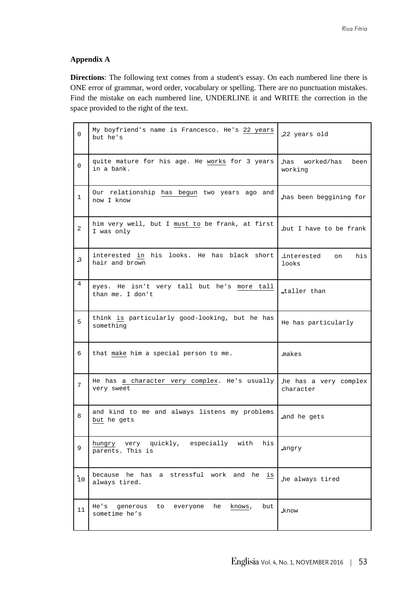## **Appendix A**

**Directions**: The following text comes from a student's essay. On each numbered line there is ONE error of grammar, word order, vocabulary or spelling. There are no punctuation mistakes. Find the mistake on each numbered line, UNDERLINE it and WRITE the correction in the space provided to the right of the text.

| $\Omega$  | My boyfriend's name is Francesco. He's 22 years<br>but he's       | .22 years old                      |
|-----------|-------------------------------------------------------------------|------------------------------------|
| 0         | quite mature for his age. He works for 3 years<br>in a bank.      | has worked/has<br>been<br>working  |
| 1         | Our relationship has begun two years ago and<br>now I know        | has been beggining for             |
| 2         | him very well, but I must to be frank, at first<br>I was only     | but I have to be frank             |
| $\cdot$ 3 | interested in his looks. He has black short<br>hair and brown     | interested<br>his<br>on<br>looks   |
| 4         | eyes. He isn't very tall but he's more tall<br>than me. I don't   | taller than                        |
| 5         | think is particularly good-looking, but he has<br>something       | He has particularly                |
| 6         | that make him a special person to me.                             | makes                              |
| 7         | He has a character very complex. He's usually<br>very sweet       | he has a very complex<br>character |
| 8         | and kind to me and always listens my problems<br>but he gets      | and he gets                        |
| 9         | hungry very quickly, especially with<br>his<br>parents. This is   | angry                              |
| 10        | because he has a stressful work and he<br>is<br>always tired.     | he always tired                    |
| 11        | He's<br>generous to everyone he<br>knows,<br>but<br>sometime he's | .know                              |